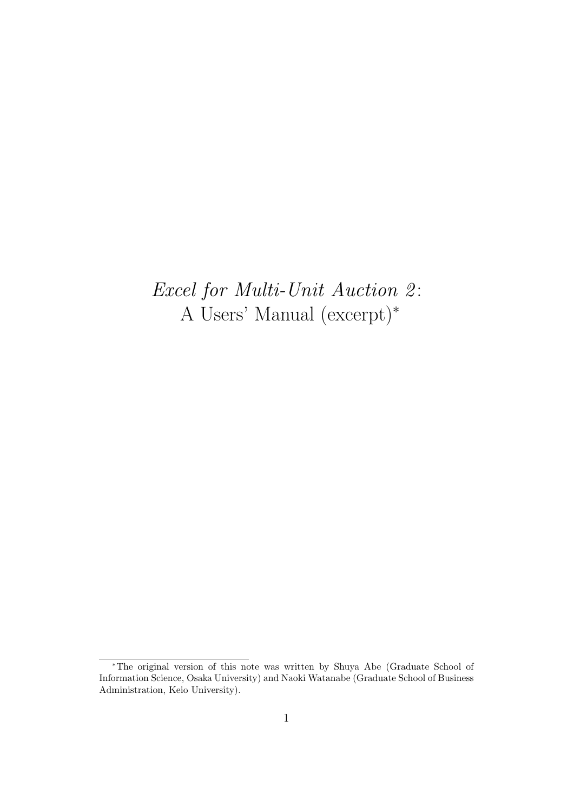# *Excel for Multi-Unit Auction 2* : A Users' Manual (excerpt)*<sup>∗</sup>*

*<sup>∗</sup>*The original version of this note was written by Shuya Abe (Graduate School of Information Science, Osaka University) and Naoki Watanabe (Graduate School of Business Administration, Keio University).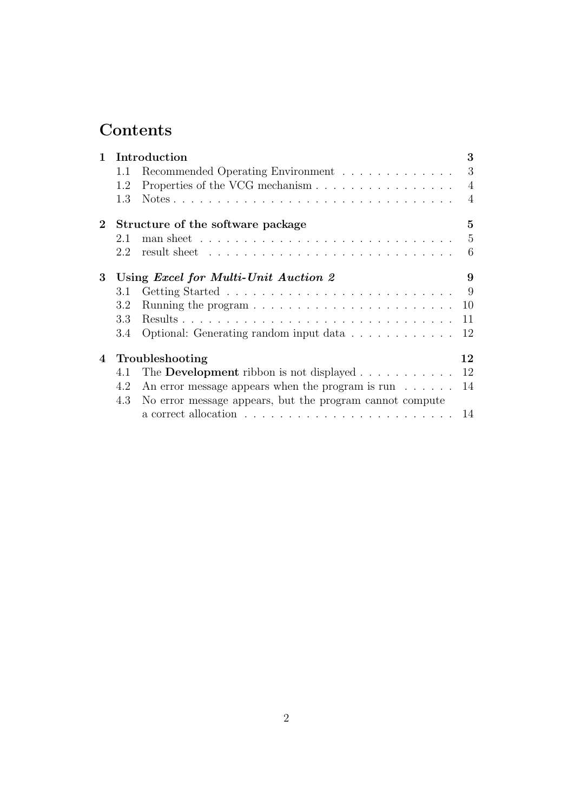# **Contents**

| $\mathbf{1}$ |     | Introduction                                                   | 3              |
|--------------|-----|----------------------------------------------------------------|----------------|
|              | 1.1 | Recommended Operating Environment                              | 3              |
|              | 1.2 | Properties of the VCG mechanism                                | $\overline{4}$ |
|              | 1.3 |                                                                | $\overline{4}$ |
| $\mathbf{2}$ |     | Structure of the software package                              | $\overline{5}$ |
|              | 2.1 |                                                                | 5              |
|              | 2.2 |                                                                | 6              |
| 3            |     | Using <i>Excel for Multi-Unit Auction 2</i>                    | 9              |
|              | 3.1 |                                                                | 9              |
|              | 3.2 |                                                                | 10             |
|              | 3.3 |                                                                | 11             |
|              | 3.4 | Optional: Generating random input data                         | 12             |
| 4            |     | Troubleshooting                                                | 12             |
|              | 4.1 | The <b>Development</b> ribbon is not displayed $\ldots$ ,      | 12             |
|              | 4.2 | An error message appears when the program is run $\dots \dots$ | 14             |
|              | 4.3 | No error message appears, but the program cannot compute       |                |
|              |     |                                                                | 14             |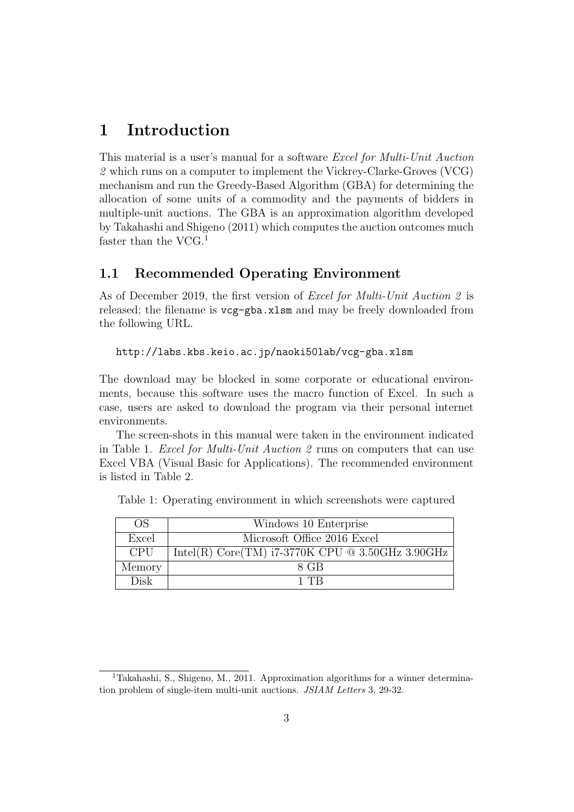# **1 Introduction**

This material is a user's manual for a software *Excel for Multi-Unit Auction 2* which runs on a computer to implement the Vickrey-Clarke-Groves (VCG) mechanism and run the Greedy-Based Algorithm (GBA) for determining the allocation of some units of a commodity and the payments of bidders in multiple-unit auctions. The GBA is an approximation algorithm developed by Takahashi and Shigeno (2011) which computes the auction outcomes much faster than the VCG.<sup>1</sup>

#### **1.1 Recommended Operating Environment**

As of December 2019, the first version of *Excel for Multi-Unit Auction 2* is released; the filename is vcg-gba.xlsm and may be freely downloaded from the following URL.

#### http://labs.kbs.keio.ac.jp/naoki50lab/vcg-gba.xlsm

The download may be blocked in some corporate or educational environments, because this software uses the macro function of Excel. In such a case, users are asked to download the program via their personal internet environments.

The screen-shots in this manual were taken in the environment indicated in Table 1. *Excel for Multi-Unit Auction 2* runs on computers that can use Excel VBA (Visual Basic for Applications). The recommended environment is listed in Table 2.

| OS         | Windows 10 Enterprise                              |
|------------|----------------------------------------------------|
| Excel      | Microsoft Office 2016 Excel                        |
| <b>CPU</b> | Intel(R) Core(TM) $i7-3770K$ CPU @ 3.50GHz 3.90GHz |
| Memory     | 8 GB                                               |
| Disk       | 1 TR                                               |

Table 1: Operating environment in which screenshots were captured

<sup>&</sup>lt;sup>1</sup>Takahashi, S., Shigeno, M., 2011. Approximation algorithms for a winner determination problem of single-item multi-unit auctions. *JSIAM Letters* 3, 29-32.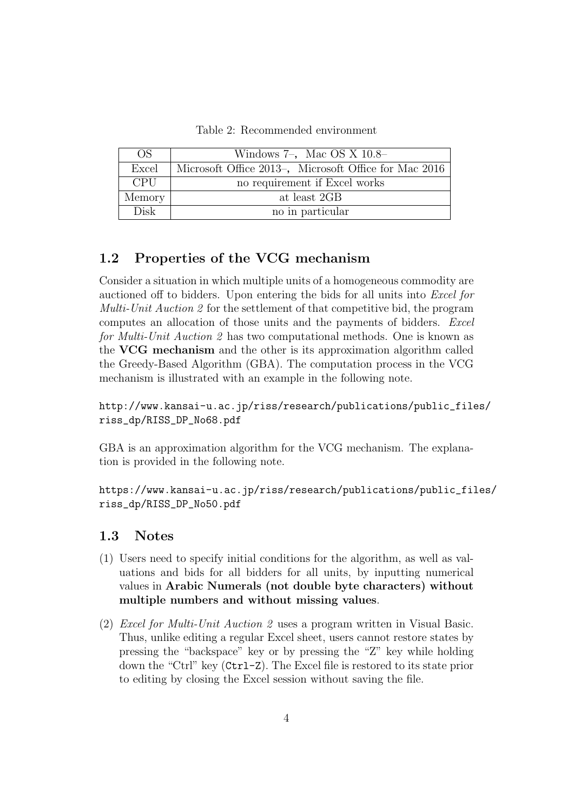Table 2: Recommended environment

| OS.         | Windows $7-$ , Mac OS X $10.8-$                       |
|-------------|-------------------------------------------------------|
| Excel       | Microsoft Office 2013-, Microsoft Office for Mac 2016 |
| <b>CPU</b>  | no requirement if Excel works                         |
| Memory      | at least 2GB                                          |
| <b>Disk</b> | no in particular                                      |

### **1.2 Properties of the VCG mechanism**

Consider a situation in which multiple units of a homogeneous commodity are auctioned off to bidders. Upon entering the bids for all units into *Excel for Multi-Unit Auction 2* for the settlement of that competitive bid, the program computes an allocation of those units and the payments of bidders. *Excel for Multi-Unit Auction 2* has two computational methods. One is known as the **VCG mechanism** and the other is its approximation algorithm called the Greedy-Based Algorithm (GBA). The computation process in the VCG mechanism is illustrated with an example in the following note.

http://www.kansai-u.ac.jp/riss/research/publications/public\_files/ riss\_dp/RISS\_DP\_No68.pdf

GBA is an approximation algorithm for the VCG mechanism. The explanation is provided in the following note.

https://www.kansai-u.ac.jp/riss/research/publications/public\_files/ riss\_dp/RISS\_DP\_No50.pdf

#### **1.3 Notes**

- (1) Users need to specify initial conditions for the algorithm, as well as valuations and bids for all bidders for all units, by inputting numerical values in **Arabic Numerals (not double byte characters) without multiple numbers and without missing values**.
- (2) *Excel for Multi-Unit Auction 2* uses a program written in Visual Basic. Thus, unlike editing a regular Excel sheet, users cannot restore states by pressing the "backspace" key or by pressing the "Z" key while holding down the "Ctrl" key (Ctrl-Z). The Excel file is restored to its state prior to editing by closing the Excel session without saving the file.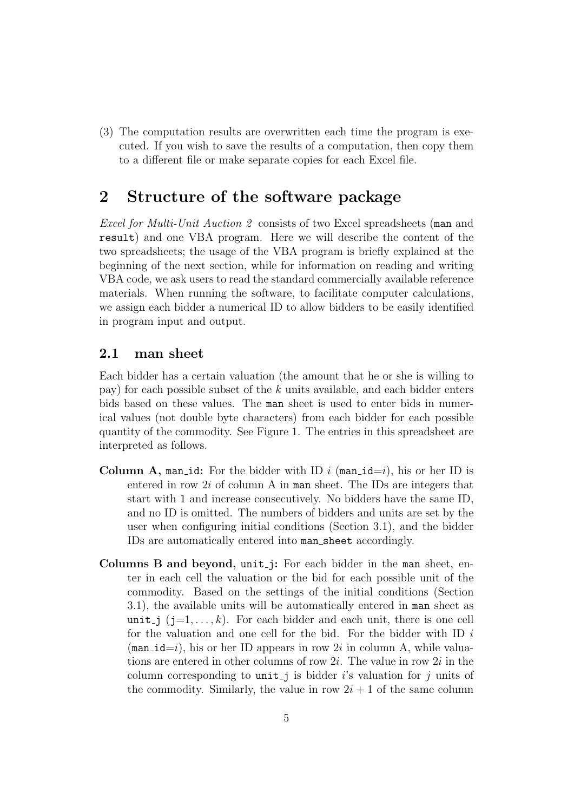(3) The computation results are overwritten each time the program is executed. If you wish to save the results of a computation, then copy them to a different file or make separate copies for each Excel file.

## **2 Structure of the software package**

*Excel for Multi-Unit Auction 2* consists of two Excel spreadsheets (man and result) and one VBA program. Here we will describe the content of the two spreadsheets; the usage of the VBA program is briefly explained at the beginning of the next section, while for information on reading and writing VBA code, we ask users to read the standard commercially available reference materials. When running the software, to facilitate computer calculations, we assign each bidder a numerical ID to allow bidders to be easily identified in program input and output.

### **2.1 man sheet**

Each bidder has a certain valuation (the amount that he or she is willing to pay) for each possible subset of the *k* units available, and each bidder enters bids based on these values. The man sheet is used to enter bids in numerical values (not double byte characters) from each bidder for each possible quantity of the commodity. See Figure 1. The entries in this spreadsheet are interpreted as follows.

- **Column A, man id:** For the bidder with ID  $i$  (man  $id=i$ ), his or her ID is entered in row 2*i* of column A in man sheet. The IDs are integers that start with 1 and increase consecutively. No bidders have the same ID, and no ID is omitted. The numbers of bidders and units are set by the user when configuring initial conditions (Section 3.1), and the bidder IDs are automatically entered into man sheet accordingly.
- **Columns B and beyond,** unit j**:** For each bidder in the man sheet, enter in each cell the valuation or the bid for each possible unit of the commodity. Based on the settings of the initial conditions (Section 3.1), the available units will be automatically entered in man sheet as unit j  $(j=1,\ldots,k)$ . For each bidder and each unit, there is one cell for the valuation and one cell for the bid. For the bidder with ID *i*  $(\text{man_id}=i)$ , his or her ID appears in row 2*i* in column A, while valuations are entered in other columns of row 2*i*. The value in row 2*i* in the column corresponding to  $unit_j$  is bidder *i*'s valuation for *j* units of the commodity. Similarly, the value in row  $2i + 1$  of the same column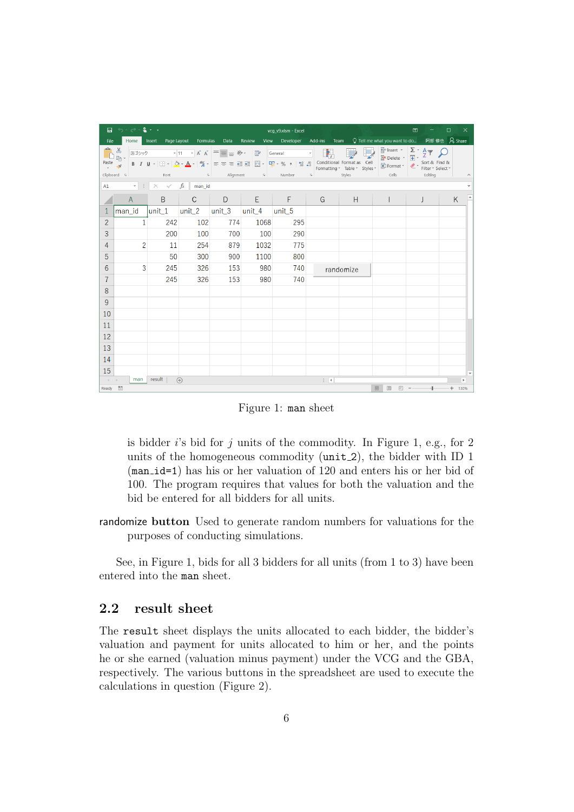|                                                                                                                                                                                                                                                       | $-5 - 2 - 1$<br>昷<br>囨<br>vcq_v9.xlsm - Excel                   |                 |                                                        |      |        |                     |              |                                                                                                                                                                                                                                                      |              |          | $\Box$<br>$\times$                          |
|-------------------------------------------------------------------------------------------------------------------------------------------------------------------------------------------------------------------------------------------------------|-----------------------------------------------------------------|-----------------|--------------------------------------------------------|------|--------|---------------------|--------------|------------------------------------------------------------------------------------------------------------------------------------------------------------------------------------------------------------------------------------------------------|--------------|----------|---------------------------------------------|
| File                                                                                                                                                                                                                                                  |                                                                 |                 | Home Insert Page Layout Formulas                       | Data | Review | View Developer      | Add-ins Team |                                                                                                                                                                                                                                                      |              |          | ○ Tell me what you want to do 阿部 修也 A Share |
| $\mathbb{B}^*$ .<br>游ゴシック $\bullet$ $\vert$ 11 $\bullet$ $\mathsf{A}^{\star} \vert \equiv \equiv \mathsf{B} \ \mathsf{B} \bullet \mathsf{C}$ General $\bullet$ $\vert$ $\vert$<br>Clipboard & Font<br><b>Example 20</b> Alignment Alimner &<br>Styles |                                                                 |                 |                                                        |      |        |                     |              | $\begin{array}{ c c c c c }\n\hline\n\text{}}\n\hline\n\text{H} & \text{Inset } \times & \sum \cdot & A \cdot \text{ for } A \\ \hline\n\text{or} & \text{B} & \text{Delete } \times & \text{F1} & \text{S1} \\ \hline\n\end{array}$<br><b>Cells</b> | Editing      | $\wedge$ |                                             |
|                                                                                                                                                                                                                                                       | A1 $\cdot$ $\cdot$ $\cdot$ $\cdot$ $\cdot$ $\cdot$ $f_x$ man_id |                 |                                                        |      |        |                     |              |                                                                                                                                                                                                                                                      |              |          | $\checkmark$                                |
|                                                                                                                                                                                                                                                       | A                                                               | $B -$           | $\mathsf{C}$                                           |      |        | $D \quad E \quad F$ | G            | H                                                                                                                                                                                                                                                    | $\mathbf{I}$ | J        | $\blacktriangle$<br>K                       |
|                                                                                                                                                                                                                                                       | lman id                                                         |                 | $ unit_1 $ $ unit_2 $ $ unit_3 $ $ unit_4 $ $ unit_5 $ |      |        |                     |              |                                                                                                                                                                                                                                                      |              |          |                                             |
| $\overline{2}$                                                                                                                                                                                                                                        | $\mathbf{1}$                                                    | 242             | 102                                                    | 774  | 1068   | 295                 |              |                                                                                                                                                                                                                                                      |              |          |                                             |
| 3                                                                                                                                                                                                                                                     |                                                                 | 200             | 100                                                    | 700  | 100    | 290                 |              |                                                                                                                                                                                                                                                      |              |          |                                             |
| 4                                                                                                                                                                                                                                                     | $\overline{2}$                                                  | 11              | 254                                                    | 879  | 1032   | 775                 |              |                                                                                                                                                                                                                                                      |              |          |                                             |
| 5                                                                                                                                                                                                                                                     |                                                                 | 50 <sup>°</sup> | 300                                                    | 900  | 1100   | 800                 |              |                                                                                                                                                                                                                                                      |              |          |                                             |
| 6                                                                                                                                                                                                                                                     | 3                                                               | 245             | 326                                                    | 153  | 980    | 740                 |              | randomize                                                                                                                                                                                                                                            |              |          |                                             |
| $\overline{7}$                                                                                                                                                                                                                                        |                                                                 | 245             | 326                                                    | 153  | 980    | 740                 |              |                                                                                                                                                                                                                                                      |              |          |                                             |
| 8                                                                                                                                                                                                                                                     |                                                                 |                 |                                                        |      |        |                     |              |                                                                                                                                                                                                                                                      |              |          |                                             |
| 9                                                                                                                                                                                                                                                     |                                                                 |                 |                                                        |      |        |                     |              |                                                                                                                                                                                                                                                      |              |          |                                             |
| 10                                                                                                                                                                                                                                                    |                                                                 |                 |                                                        |      |        |                     |              |                                                                                                                                                                                                                                                      |              |          |                                             |
| 11                                                                                                                                                                                                                                                    |                                                                 |                 |                                                        |      |        |                     |              |                                                                                                                                                                                                                                                      |              |          |                                             |
| 12                                                                                                                                                                                                                                                    |                                                                 |                 |                                                        |      |        |                     |              |                                                                                                                                                                                                                                                      |              |          |                                             |
| 13                                                                                                                                                                                                                                                    |                                                                 |                 |                                                        |      |        |                     |              |                                                                                                                                                                                                                                                      |              |          |                                             |
| 14                                                                                                                                                                                                                                                    |                                                                 |                 |                                                        |      |        |                     |              |                                                                                                                                                                                                                                                      |              |          |                                             |
| 15                                                                                                                                                                                                                                                    |                                                                 |                 |                                                        |      |        |                     |              |                                                                                                                                                                                                                                                      |              |          |                                             |
| $\rightarrow$ 4 $\rightarrow$ 10<br>Ready                                                                                                                                                                                                             | man<br>體                                                        | result          | $\bigoplus$                                            |      |        |                     | $\pm$ 31     |                                                                                                                                                                                                                                                      | 開<br>回       |          | Þ.<br>130%                                  |
|                                                                                                                                                                                                                                                       |                                                                 |                 |                                                        |      |        |                     |              |                                                                                                                                                                                                                                                      |              |          |                                             |

Figure 1: man sheet

is bidder *i*'s bid for *j* units of the commodity. In Figure 1, e.g., for 2 units of the homogeneous commodity (unit 2), the bidder with ID 1 (man id=1) has his or her valuation of 120 and enters his or her bid of 100. The program requires that values for both the valuation and the bid be entered for all bidders for all units.

randomize **button** Used to generate random numbers for valuations for the purposes of conducting simulations.

See, in Figure 1, bids for all 3 bidders for all units (from 1 to 3) have been entered into the man sheet.

### **2.2 result sheet**

The result sheet displays the units allocated to each bidder, the bidder's valuation and payment for units allocated to him or her, and the points he or she earned (valuation minus payment) under the VCG and the GBA, respectively. The various buttons in the spreadsheet are used to execute the calculations in question (Figure 2).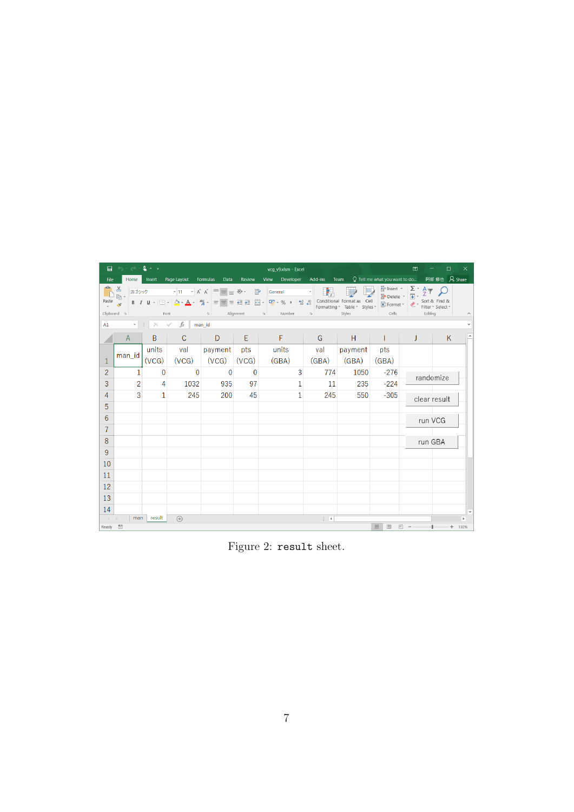| 昷                                        | $5 - 0.2 - 1$<br>vcg_v9.xlsm - Excel                                                                                                                                                                                                                                                                                                                                                                                                                                  |                |                             |              |          |                   |              |         |                         | 囨                                          | $\Box$       | $\times$ |
|------------------------------------------|-----------------------------------------------------------------------------------------------------------------------------------------------------------------------------------------------------------------------------------------------------------------------------------------------------------------------------------------------------------------------------------------------------------------------------------------------------------------------|----------------|-----------------------------|--------------|----------|-------------------|--------------|---------|-------------------------|--------------------------------------------|--------------|----------|
| File                                     | Home                                                                                                                                                                                                                                                                                                                                                                                                                                                                  |                | Insert Page Layout Formulas | Data         | Review   | Developer<br>View | Add-ins      | Team    |                         | ○ Tell me what you want to do 阿部修也 A Share |              |          |
| Paste                                    | $\frac{1}{2}$ Insert $\frac{1}{2}$ $\frac{1}{2}$ $\frac{1}{2}$<br>ಹ<br>General<br>A Delete - D<br>$\mathbb{R}$ .<br><b>B</b> $I \perp \perp \Box \cdot \Box \cdot \Box \cdot \Delta \cdot \mathbb{A} \cdot \mathbb{A} \cdot \mathbb{B}$ = $\equiv \equiv \equiv \equiv \Xi$ $\Box$<br>$\mathcal{A}^{\prime}$<br>Format *<br>Formatting * Table * Styles *<br>Clipboard 5<br>Alignment 5 Number<br>Styles<br>$\sim$ 50<br>Cells<br>Font<br>$\overline{\mathbb{F}_M}$ . |                |                             |              |          |                   |              |         | $\bullet$<br>Editing    | Sort & Find &<br>Filter - Select -         |              |          |
| A1                                       | $\mathbf{v} = \mathbf{v}$                                                                                                                                                                                                                                                                                                                                                                                                                                             | $\times$       | $\int x$<br>$\checkmark$    | man id       |          |                   |              |         |                         |                                            |              |          |
|                                          | $\mathsf{A}$                                                                                                                                                                                                                                                                                                                                                                                                                                                          | B              | $\mathsf{C}$                | D            | E        | F.                | G            | H       | $\mathbf{L}$            | J                                          | K            |          |
|                                          |                                                                                                                                                                                                                                                                                                                                                                                                                                                                       | units          | val                         | payment      | pts      | units             | val          | payment | pts                     |                                            |              |          |
| 1                                        | man_id                                                                                                                                                                                                                                                                                                                                                                                                                                                                | (VCG)          | (VCG)                       | (VCG)        | (VCG)    | (GBA)             | (GBA)        | (GBA)   | (GBA)                   |                                            |              |          |
| $\overline{2}$                           | 1                                                                                                                                                                                                                                                                                                                                                                                                                                                                     | $\Omega$       | $\Omega$                    | $\mathbf{0}$ | $\Omega$ | 3                 | 774          | 1050    | $-276$                  |                                            | randomize    |          |
| 3                                        | $\overline{2}$                                                                                                                                                                                                                                                                                                                                                                                                                                                        | $\overline{4}$ | 1032                        | 935          | 97       | $\mathbf{1}$      | 11           | 235     | $-224$                  |                                            |              |          |
| 4                                        | 3                                                                                                                                                                                                                                                                                                                                                                                                                                                                     | $\mathbf{1}$   | 245                         | 200          | 45       | 1                 | 245          | 550     | $-305$                  |                                            | clear result |          |
| 5                                        |                                                                                                                                                                                                                                                                                                                                                                                                                                                                       |                |                             |              |          |                   |              |         |                         |                                            |              |          |
| 6                                        |                                                                                                                                                                                                                                                                                                                                                                                                                                                                       |                |                             |              |          |                   |              |         |                         | run VCG                                    |              |          |
| 7                                        |                                                                                                                                                                                                                                                                                                                                                                                                                                                                       |                |                             |              |          |                   |              |         |                         |                                            |              |          |
| 8                                        |                                                                                                                                                                                                                                                                                                                                                                                                                                                                       |                |                             |              |          |                   |              |         |                         | run GBA                                    |              |          |
| 9                                        |                                                                                                                                                                                                                                                                                                                                                                                                                                                                       |                |                             |              |          |                   |              |         |                         |                                            |              |          |
| 10                                       |                                                                                                                                                                                                                                                                                                                                                                                                                                                                       |                |                             |              |          |                   |              |         |                         |                                            |              |          |
| 11                                       |                                                                                                                                                                                                                                                                                                                                                                                                                                                                       |                |                             |              |          |                   |              |         |                         |                                            |              |          |
| 12                                       |                                                                                                                                                                                                                                                                                                                                                                                                                                                                       |                |                             |              |          |                   |              |         |                         |                                            |              |          |
| 13                                       |                                                                                                                                                                                                                                                                                                                                                                                                                                                                       |                |                             |              |          |                   |              |         |                         |                                            |              |          |
| 14                                       |                                                                                                                                                                                                                                                                                                                                                                                                                                                                       |                |                             |              |          |                   |              |         |                         |                                            |              |          |
| $\begin{array}{ccc} -1 & -1 \end{array}$ | man                                                                                                                                                                                                                                                                                                                                                                                                                                                                   | result         | $(+)$                       |              |          |                   | $\mathbb{R}$ |         |                         |                                            |              | $\,$     |
| Ready <b>in</b>                          |                                                                                                                                                                                                                                                                                                                                                                                                                                                                       |                |                             |              |          |                   |              |         | 開<br>$\boxed{\boxplus}$ | 凹                                          |              | $+ 130%$ |

Figure 2: result sheet.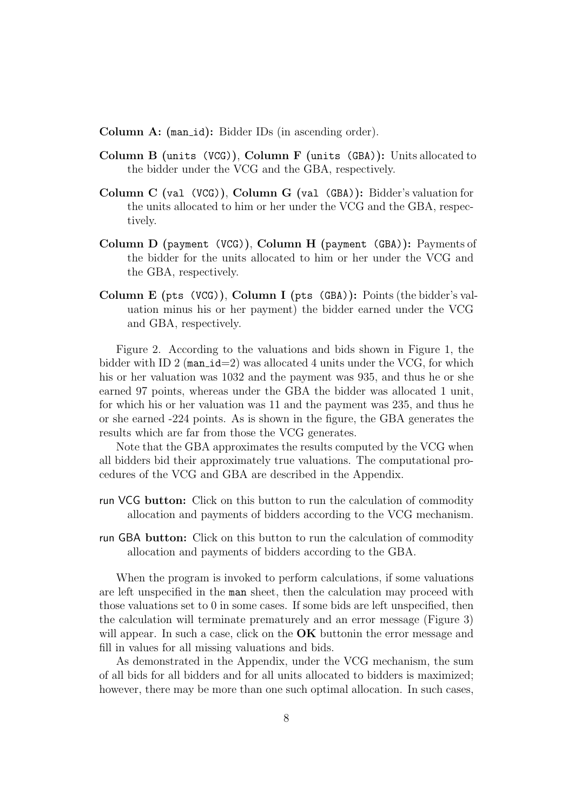**Column A: (man\_id):** Bidder IDs (in ascending order).

- **Column B (**units (VCG)**)**, **Column F (**units (GBA)**):** Units allocated to the bidder under the VCG and the GBA, respectively.
- **Column C (**val (VCG)**)**, **Column G (**val (GBA)**):** Bidder's valuation for the units allocated to him or her under the VCG and the GBA, respectively.
- **Column D (**payment (VCG)**)**, **Column H (**payment (GBA)**):** Payments of the bidder for the units allocated to him or her under the VCG and the GBA, respectively.
- **Column E (**pts (VCG)**)**, **Column I (**pts (GBA)**):** Points (the bidder's valuation minus his or her payment) the bidder earned under the VCG and GBA, respectively.

Figure 2. According to the valuations and bids shown in Figure 1, the bidder with ID 2 (man\_id=2) was allocated 4 units under the VCG, for which his or her valuation was 1032 and the payment was 935, and thus he or she earned 97 points, whereas under the GBA the bidder was allocated 1 unit, for which his or her valuation was 11 and the payment was 235, and thus he or she earned -224 points. As is shown in the figure, the GBA generates the results which are far from those the VCG generates.

Note that the GBA approximates the results computed by the VCG when all bidders bid their approximately true valuations. The computational procedures of the VCG and GBA are described in the Appendix.

- run VCG **button:** Click on this button to run the calculation of commodity allocation and payments of bidders according to the VCG mechanism.
- run GBA **button:** Click on this button to run the calculation of commodity allocation and payments of bidders according to the GBA.

When the program is invoked to perform calculations, if some valuations are left unspecified in the man sheet, then the calculation may proceed with those valuations set to 0 in some cases. If some bids are left unspecified, then the calculation will terminate prematurely and an error message (Figure 3) will appear. In such a case, click on the **OK** buttonin the error message and fill in values for all missing valuations and bids.

As demonstrated in the Appendix, under the VCG mechanism, the sum of all bids for all bidders and for all units allocated to bidders is maximized; however, there may be more than one such optimal allocation. In such cases,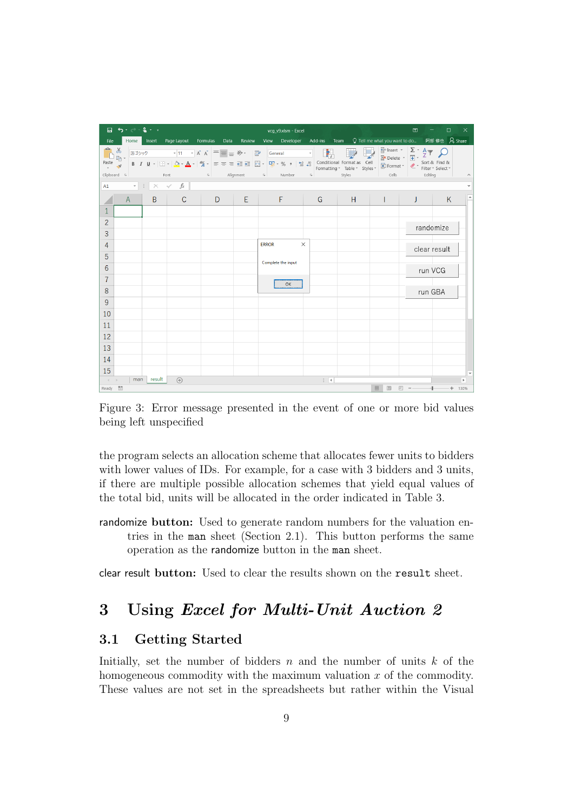| $\overline{H}$ by $\overline{C}$ . $\overline{S}$<br>囨<br>vcq_v9.xlsm - Excel |                                            |        |                                       |  |        |                                                                                                                                                                                                                                                                                                                                                                                                                                                                                            |              |        | □            | $\times$                                                                                                                          |              |          |
|-------------------------------------------------------------------------------|--------------------------------------------|--------|---------------------------------------|--|--------|--------------------------------------------------------------------------------------------------------------------------------------------------------------------------------------------------------------------------------------------------------------------------------------------------------------------------------------------------------------------------------------------------------------------------------------------------------------------------------------------|--------------|--------|--------------|-----------------------------------------------------------------------------------------------------------------------------------|--------------|----------|
| File                                                                          |                                            |        | Home Insert Page Layout Formulas Data |  | Review | View Developer Add-ins Team Q Tell me what you want to do 阿部修也 Q Share                                                                                                                                                                                                                                                                                                                                                                                                                     |              |        |              |                                                                                                                                   |              |          |
| Paste                                                                         | $\mathbb{R}^*$ .<br>Clipboard & Font       |        |                                       |  |        | 游コシック - 11 - A A $\equiv \equiv \gg$ B General - $\Box$<br>and the second term of $\mathbb{B}$ <b>b</b> $I \perp \mathbb{B}$ <b>b</b> $I \perp \mathbb{B}$ <b>b</b> $I \perp \mathbb{B}$ <b>b</b> $I \perp \mathbb{B}$ <b>b</b> $I \perp \mathbb{B}$ <b>b</b> $I \perp \mathbb{B}$ <b>b</b> $I \perp \mathbb{B}$ <b>b</b> $I \perp \mathbb{B}$ <b>b</b> $I \perp \mathbb{B}$ <b>b</b> $I \perp \mathbb{B}$ <b>b</b> $I \perp \mathbb{B}$ <b>b</b><br><b>Example 20</b> Alignment Alimber & |              | Styles | <b>Cells</b> | $\frac{2}{3}$ Insert $\cdot$ $\frac{\sum \cdot A \cdot \sum}{\sum \cdot \sum \cdot \sum \cdot \sum \cdot \cdot \cdot}$<br>Editing |              |          |
|                                                                               | A1 $\cdot$ $\mid$ $\times$ $\checkmark$ fx |        |                                       |  |        |                                                                                                                                                                                                                                                                                                                                                                                                                                                                                            |              |        |              |                                                                                                                                   |              |          |
|                                                                               | $\mathsf{A}$                               | $B -$  | $\mathsf{C}$                          |  |        | D E F                                                                                                                                                                                                                                                                                                                                                                                                                                                                                      | G            | H      |              | J                                                                                                                                 | K            | i a      |
|                                                                               |                                            |        |                                       |  |        |                                                                                                                                                                                                                                                                                                                                                                                                                                                                                            |              |        |              |                                                                                                                                   |              |          |
| $\overline{2}$                                                                |                                            |        |                                       |  |        |                                                                                                                                                                                                                                                                                                                                                                                                                                                                                            |              |        |              | randomize                                                                                                                         |              |          |
| 3                                                                             |                                            |        |                                       |  |        |                                                                                                                                                                                                                                                                                                                                                                                                                                                                                            |              |        |              |                                                                                                                                   |              |          |
| 4                                                                             |                                            |        |                                       |  |        | <b>ERROR</b><br>$\times$                                                                                                                                                                                                                                                                                                                                                                                                                                                                   |              |        |              |                                                                                                                                   | clear result |          |
| 5                                                                             |                                            |        |                                       |  |        | Complete the input                                                                                                                                                                                                                                                                                                                                                                                                                                                                         |              |        |              |                                                                                                                                   |              |          |
| 6                                                                             |                                            |        |                                       |  |        |                                                                                                                                                                                                                                                                                                                                                                                                                                                                                            |              |        |              |                                                                                                                                   | run VCG      |          |
| 7                                                                             |                                            |        |                                       |  |        | OK                                                                                                                                                                                                                                                                                                                                                                                                                                                                                         |              |        |              |                                                                                                                                   |              |          |
| 8                                                                             |                                            |        |                                       |  |        |                                                                                                                                                                                                                                                                                                                                                                                                                                                                                            |              |        |              | run GBA                                                                                                                           |              |          |
| 9                                                                             |                                            |        |                                       |  |        |                                                                                                                                                                                                                                                                                                                                                                                                                                                                                            |              |        |              |                                                                                                                                   |              |          |
| 10                                                                            |                                            |        |                                       |  |        |                                                                                                                                                                                                                                                                                                                                                                                                                                                                                            |              |        |              |                                                                                                                                   |              |          |
| 11                                                                            |                                            |        |                                       |  |        |                                                                                                                                                                                                                                                                                                                                                                                                                                                                                            |              |        |              |                                                                                                                                   |              |          |
| 12                                                                            |                                            |        |                                       |  |        |                                                                                                                                                                                                                                                                                                                                                                                                                                                                                            |              |        |              |                                                                                                                                   |              |          |
| 13                                                                            |                                            |        |                                       |  |        |                                                                                                                                                                                                                                                                                                                                                                                                                                                                                            |              |        |              |                                                                                                                                   |              |          |
| 14                                                                            |                                            |        |                                       |  |        |                                                                                                                                                                                                                                                                                                                                                                                                                                                                                            |              |        |              |                                                                                                                                   |              |          |
| 15                                                                            |                                            |        |                                       |  |        |                                                                                                                                                                                                                                                                                                                                                                                                                                                                                            |              |        |              |                                                                                                                                   |              |          |
| $\rightarrow$ ( $\rightarrow$ ).                                              | man                                        | result | $(+)$                                 |  |        |                                                                                                                                                                                                                                                                                                                                                                                                                                                                                            | $\mathbb{R}$ |        |              |                                                                                                                                   |              | ×        |
| Ready <b>LE</b>                                                               |                                            |        |                                       |  |        |                                                                                                                                                                                                                                                                                                                                                                                                                                                                                            |              |        | 開<br>回       | $\boxed{11} \quad -$                                                                                                              |              | $+ 130%$ |

Figure 3: Error message presented in the event of one or more bid values being left unspecified

the program selects an allocation scheme that allocates fewer units to bidders with lower values of IDs. For example, for a case with 3 bidders and 3 units, if there are multiple possible allocation schemes that yield equal values of the total bid, units will be allocated in the order indicated in Table 3.

randomize **button:** Used to generate random numbers for the valuation entries in the man sheet (Section 2.1). This button performs the same operation as the randomize button in the man sheet.

clear result **button:** Used to clear the results shown on the result sheet.

# **3 Using** *Excel for Multi-Unit Auction 2*

### **3.1 Getting Started**

Initially, set the number of bidders  $n$  and the number of units  $k$  of the homogeneous commodity with the maximum valuation *x* of the commodity. These values are not set in the spreadsheets but rather within the Visual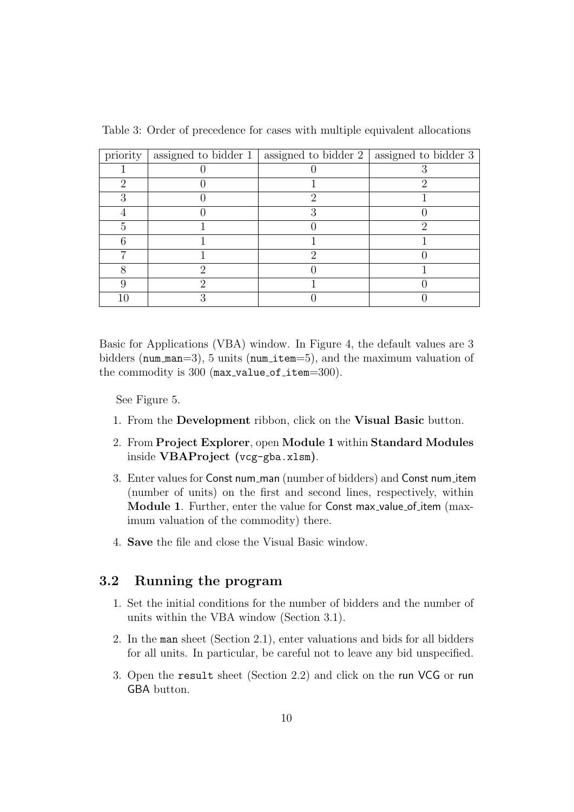| priority             | assigned to bidder 1   assigned to bidder 2   assigned to bidder 3 |  |
|----------------------|--------------------------------------------------------------------|--|
|                      |                                                                    |  |
| $\ddot{\phantom{0}}$ |                                                                    |  |
|                      |                                                                    |  |
|                      |                                                                    |  |
|                      |                                                                    |  |
|                      |                                                                    |  |
|                      |                                                                    |  |
|                      |                                                                    |  |
|                      |                                                                    |  |
|                      |                                                                    |  |

Table 3: Order of precedence for cases with multiple equivalent allocations

Basic for Applications (VBA) window. In Figure 4, the default values are 3 bidders (num man=3), 5 units (num item=5), and the maximum valuation of the commodity is  $300$  (max\_value\_of\_item= $300$ ).

See Figure 5.

- 1. From the **Development** ribbon, click on the **Visual Basic** button.
- 2. From **Project Explorer**, open **Module 1** within **Standard Modules** inside **VBAProject (**vcg-gba.xlsm**)**.
- 3. Enter values for Const num man (number of bidders) and Const num item (number of units) on the first and second lines, respectively, within **Module 1.** Further, enter the value for Const max-value of item (maximum valuation of the commodity) there.
- 4. **Save** the file and close the Visual Basic window.

### **3.2 Running the program**

- 1. Set the initial conditions for the number of bidders and the number of units within the VBA window (Section 3.1).
- 2. In the man sheet (Section 2.1), enter valuations and bids for all bidders for all units. In particular, be careful not to leave any bid unspecified.
- 3. Open the result sheet (Section 2.2) and click on the run VCG or run GBA button.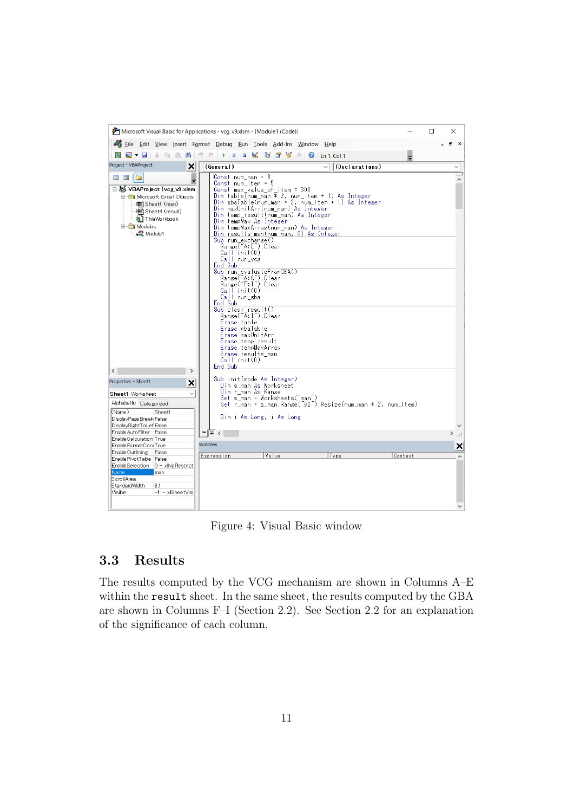

Figure 4: Visual Basic window

### **3.3 Results**

The results computed by the VCG mechanism are shown in Columns A–E within the result sheet. In the same sheet, the results computed by the GBA are shown in Columns F–I (Section 2.2). See Section 2.2 for an explanation of the significance of each column.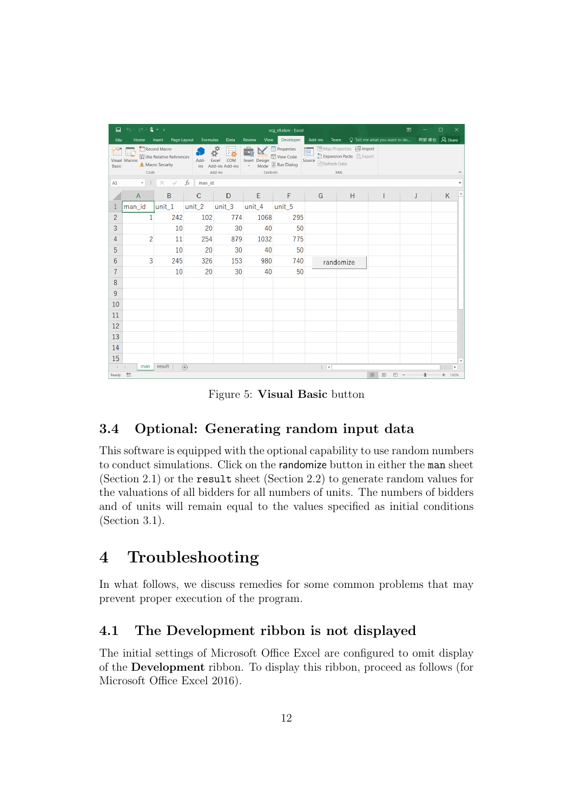| 日              | $\mathcal{O}_1 \times \mathcal{O}_2 \times \mathbf{Q}_1 \times \mathbb{R}$ |                                                             |              |                                                    |                                   | vcq_v9.xlsm - Excel                                           |                              |                                                                              | 囨                                    | □ | ×              |  |
|----------------|----------------------------------------------------------------------------|-------------------------------------------------------------|--------------|----------------------------------------------------|-----------------------------------|---------------------------------------------------------------|------------------------------|------------------------------------------------------------------------------|--------------------------------------|---|----------------|--|
| File           | Home                                                                       | Page Layout<br>Insert                                       | Formulas     | Data                                               | Review<br>View                    | Developer                                                     | Add-ins                      | Team                                                                         | $\Omega$ Tell me what you want to do |   | 阿部修也 A Share   |  |
| Basic          | Visual Macros<br>Code                                                      | Record Macro<br>Use Relative References<br>A Macro Security | Add-<br>ins  | ंग्र<br>Excel<br>COM<br>Add-ins Add-ins<br>Add-ins | Insert Design<br>Mode<br>Controls | <b>E</b> Properties<br>Q <sup>-</sup> View Code<br>Run Dialog | g.<br>Source<br>Refresh Data | <b>Em</b> Map Properties <b>By Import</b><br>Expansion Packs & Export<br>XML |                                      |   |                |  |
| A1             | v                                                                          | ×                                                           | fx<br>man_id |                                                    |                                   |                                                               |                              |                                                                              |                                      |   |                |  |
|                | $\overline{A}$                                                             | B                                                           | $\mathsf{C}$ | D                                                  | E                                 | F                                                             | G                            | H                                                                            |                                      |   | K              |  |
|                | man_id                                                                     | unit_1                                                      | unit_ $2$    | unit_3                                             | unit_4                            | unit_5                                                        |                              |                                                                              |                                      |   |                |  |
| $\overline{2}$ | $\mathbf{1}$                                                               | 242                                                         | 102          | 774                                                | 1068                              | 295                                                           |                              |                                                                              |                                      |   |                |  |
| 3              |                                                                            | 10                                                          | 20           | 30                                                 | 40                                | 50                                                            |                              |                                                                              |                                      |   |                |  |
| 4              | $\overline{c}$                                                             | 11                                                          | 254          | 879                                                | 1032                              | 775                                                           |                              |                                                                              |                                      |   |                |  |
| 5              |                                                                            | 10                                                          | 20           | 30                                                 | 40                                | 50                                                            |                              |                                                                              |                                      |   |                |  |
| 6              | 3                                                                          | 245                                                         | 326          | 153                                                | 980                               | 740                                                           |                              | randomize                                                                    |                                      |   |                |  |
| 7              |                                                                            | 10                                                          | 20           | 30                                                 | 40                                | 50                                                            |                              |                                                                              |                                      |   |                |  |
| 8              |                                                                            |                                                             |              |                                                    |                                   |                                                               |                              |                                                                              |                                      |   |                |  |
| 9              |                                                                            |                                                             |              |                                                    |                                   |                                                               |                              |                                                                              |                                      |   |                |  |
| 10             |                                                                            |                                                             |              |                                                    |                                   |                                                               |                              |                                                                              |                                      |   |                |  |
| 11             |                                                                            |                                                             |              |                                                    |                                   |                                                               |                              |                                                                              |                                      |   |                |  |
| 12             |                                                                            |                                                             |              |                                                    |                                   |                                                               |                              |                                                                              |                                      |   |                |  |
| 13             |                                                                            |                                                             |              |                                                    |                                   |                                                               |                              |                                                                              |                                      |   |                |  |
| 14             |                                                                            |                                                             |              |                                                    |                                   |                                                               |                              |                                                                              |                                      |   |                |  |
| 15             |                                                                            |                                                             |              |                                                    |                                   |                                                               |                              |                                                                              |                                      |   |                |  |
| $\overline{4}$ | man                                                                        | result                                                      | $\bigoplus$  |                                                    |                                   |                                                               | $\frac{1}{2}$                |                                                                              |                                      |   | $\,$           |  |
| Ready          | 體                                                                          |                                                             |              |                                                    |                                   |                                                               |                              |                                                                              | 囲<br>回<br>回                          |   | 130%<br>$^{+}$ |  |

Figure 5: **Visual Basic** button

# **3.4 Optional: Generating random input data**

This software is equipped with the optional capability to use random numbers to conduct simulations. Click on the randomize button in either the man sheet (Section 2.1) or the result sheet (Section 2.2) to generate random values for the valuations of all bidders for all numbers of units. The numbers of bidders and of units will remain equal to the values specified as initial conditions (Section 3.1).

# **4 Troubleshooting**

In what follows, we discuss remedies for some common problems that may prevent proper execution of the program.

### **4.1 The Development ribbon is not displayed**

The initial settings of Microsoft Office Excel are configured to omit display of the **Development** ribbon. To display this ribbon, proceed as follows (for Microsoft Office Excel 2016).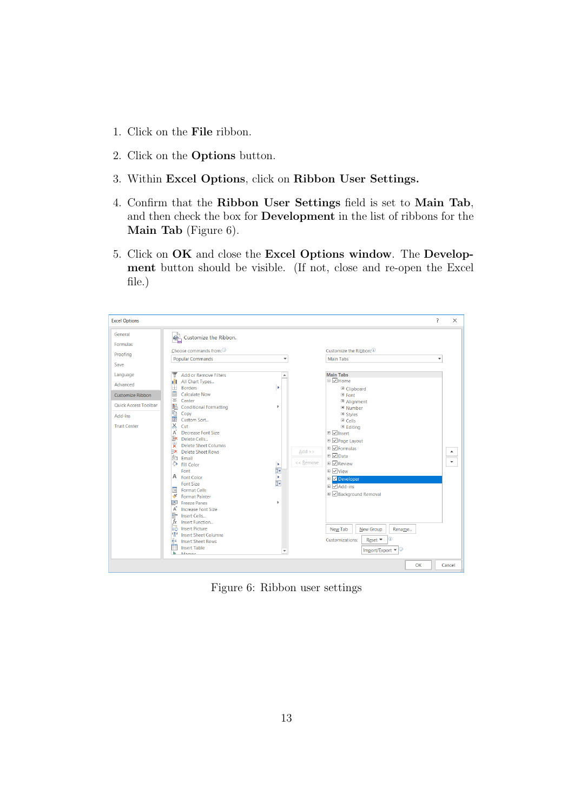- 1. Click on the **File** ribbon.
- 2. Click on the **Options** button.
- 3. Within **Excel Options**, click on **Ribbon User Settings.**
- 4. Confirm that the **Ribbon User Settings** field is set to **Main Tab**, and then check the box for **Development** in the list of ribbons for the **Main Tab** (Figure 6).
- 5. Click on **OK** and close the **Excel Options window**. The **Development** button should be visible. (If not, close and re-open the Excel file.)



Figure 6: Ribbon user settings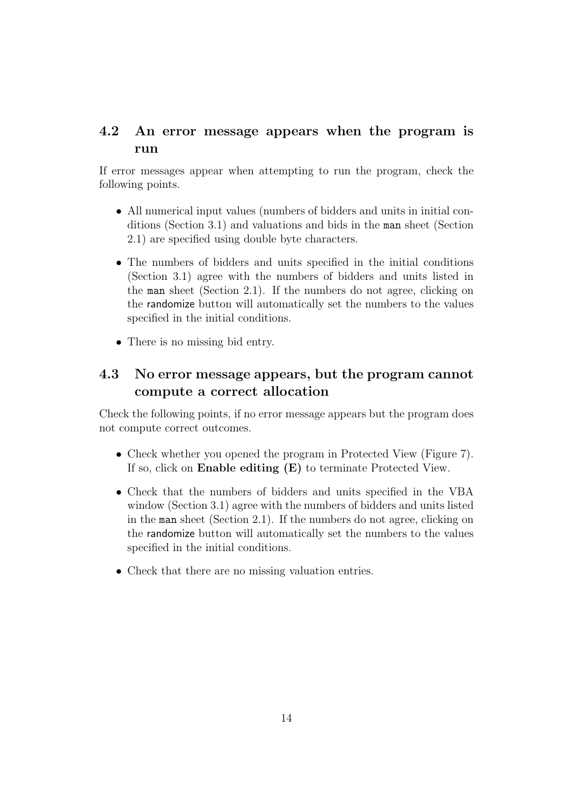### **4.2 An error message appears when the program is run**

If error messages appear when attempting to run the program, check the following points.

- All numerical input values (numbers of bidders and units in initial conditions (Section 3.1) and valuations and bids in the man sheet (Section 2.1) are specified using double byte characters.
- *•* The numbers of bidders and units specified in the initial conditions (Section 3.1) agree with the numbers of bidders and units listed in the man sheet (Section 2.1). If the numbers do not agree, clicking on the randomize button will automatically set the numbers to the values specified in the initial conditions.
- There is no missing bid entry.

## **4.3 No error message appears, but the program cannot compute a correct allocation**

Check the following points, if no error message appears but the program does not compute correct outcomes.

- Check whether you opened the program in Protected View (Figure 7). If so, click on **Enable editing (E)** to terminate Protected View.
- Check that the numbers of bidders and units specified in the VBA window (Section 3.1) agree with the numbers of bidders and units listed in the man sheet (Section 2.1). If the numbers do not agree, clicking on the randomize button will automatically set the numbers to the values specified in the initial conditions.
- Check that there are no missing valuation entries.